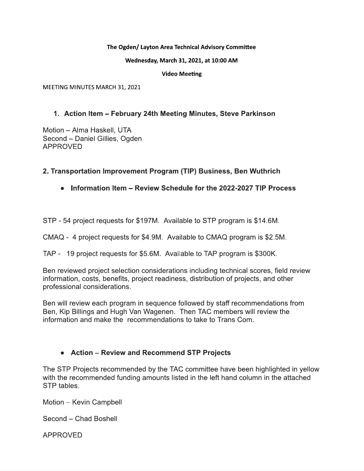#### The Ogden/ Layton Area Technical Advisory Committee

Wednesday, March 31, 2021, at 10:00 AM

**Video Meeting** 

MEETING MINUTES MARCH 31, 2021

## 1. Action Item - February 24th Meeting Minutes, Steve Parkinson

Motion - Alma Haskell, UTA Second - Daniel Gillies, Ogden **APPROVED** 

## 2. Transportation Improvement Program (TIP) Business, Ben Wuthrich

## • Information Item – Review Schedule for the 2022-2027 TIP Process

STP - 54 project requests for \$197M. Available to STP program is \$14.6M.

CMAQ - 4 project requests for \$4.9M. Available to CMAQ program is \$2.5M.

TAP - 19 project requests for \$5.6M. Available to TAP program is \$300K.

Ben reviewed project selection considerations including technical scores, field review information, costs, benefits, project readiness, distribution of projects, and other professional considerations.

Ben will review each program in sequence followed by staff recommendations from Ben, Kip Billings and Hugh Van Wagenen. Then TAC members will review the information and make the recommendations to take to Trans Com.

## • Action – Review and Recommend STP Projects

The STP Projects recommended by the TAC committee have been highlighted in yellow with the recommended funding amounts listed in the left hand column in the attached STP tables.

Motion - Kevin Campbell

Second - Chad Boshell

**APPROVED**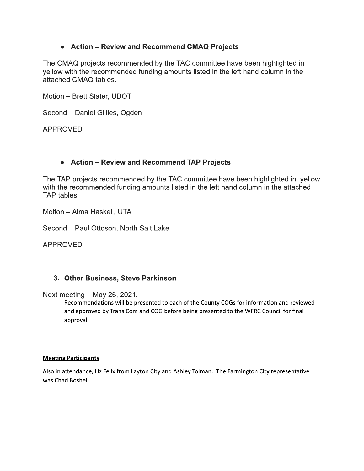## • Action – Review and Recommend CMAQ Projects

The CMAQ projects recommended by the TAC committee have been highlighted in yellow with the recommended funding amounts listed in the left hand column in the attached CMAQ tables.

Motion - Brett Slater, UDOT

Second - Daniel Gillies, Ogden

**APPROVED** 

## • Action – Review and Recommend TAP Projects

The TAP projects recommended by the TAC committee have been highlighted in yellow with the recommended funding amounts listed in the left hand column in the attached TAP tables.

Motion - Alma Haskell, UTA

Second - Paul Ottoson, North Salt Lake

**APPROVED** 

## 3. Other Business, Steve Parkinson

Next meeting  $-$  May 26, 2021.

Recommendations will be presented to each of the County COGs for information and reviewed and approved by Trans Com and COG before being presented to the WFRC Council for final approval.

#### **Meeting Participants**

Also in attendance, Liz Felix from Layton City and Ashley Tolman. The Farmington City representative was Chad Boshell.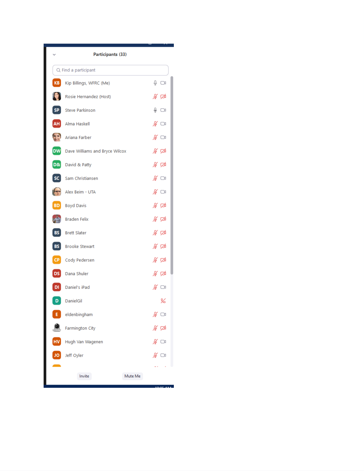|                  | Participants (33)                 |                                                       |
|------------------|-----------------------------------|-------------------------------------------------------|
|                  | Q Find a participant              |                                                       |
| KB               | Kip Billings, WFRC (Me)           | ⊕ ⊙।                                                  |
|                  | Rosie Hernandez (Host)            | ∦ ≮                                                   |
| SP <sup>1</sup>  | <b>Steve Parkinson</b>            | $\overset{\circ}{\mathbb{P}}$ $\overset{\circ}{\Box}$ |
| <b>AH</b>        | Alma Haskell                      | ∦ ા                                                   |
| 25               | Ariana Farber                     | ∦ ಯ                                                   |
|                  | DW Dave Williams and Bryce Wilcox | ∦ ⊄                                                   |
| <b>D&amp;</b>    | David & Patty                     | ∦ ⊄                                                   |
| sc               | Sam Christiansen                  | ∦ ⊡                                                   |
| $f_{\text{out}}$ | Alex Beim - UTA                   | ∦ ⊡                                                   |
| <b>BD</b>        | <b>Boyd Davis</b>                 | ⊯ ⊄                                                   |
|                  | <b>Braden Felix</b>               | ⊯ ⊄                                                   |
| <b>BS</b>        | <b>Brett Slater</b>               | ∦ ⊄                                                   |
| <b>BS</b>        | <b>Brooke Stewart</b>             | ∦ ⊄                                                   |
| CP               | Cody Pedersen                     | ∦ ⊄                                                   |
| DS               | Dana Shuler                       | ∦ ⊄                                                   |
| DI               | Daniel's iPad                     | $\mathscr{L} \subset \mathbb{R}$                      |
| D                | DanielGil                         | ¥                                                     |
| E.               | eldenbingham                      |                                                       |
|                  | <b>Farmington City</b>            | ⊯ ≇                                                   |
| HV               | Hugh Van Wagenen                  | ∦ ⊡∖                                                  |
| JO               | Jeff Oyler                        | ∦ ⊡∖                                                  |
|                  |                                   |                                                       |
|                  | Invite<br>Mute Me                 |                                                       |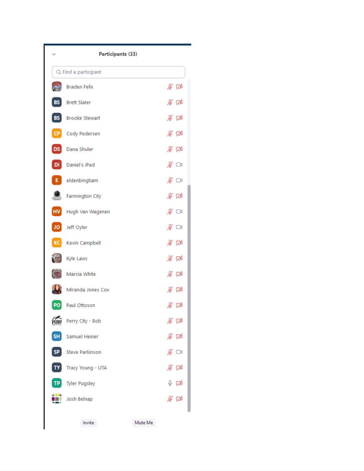|           | Participants (33)      |                                  |
|-----------|------------------------|----------------------------------|
|           | Q Find a participant   |                                  |
|           | <b>Braden Felix</b>    | ∦ ⊄                              |
| BS        | <b>Brett Slater</b>    | ∦ ⊄                              |
| <b>BS</b> | <b>Brooke Stewart</b>  | ⊯ ⊄                              |
| <b>CP</b> | Cody Pedersen          | ∦ ⊄                              |
| DS        | Dana Shuler            | ∦ ⊄                              |
| DI        | Daniel's iPad          | ∦ ⊡                              |
| Е.        | eldenbingham           | $\mathscr{L} \subset \mathbb{R}$ |
|           | Farmington City        | ⊯ ⊄                              |
| HV        | Hugh Van Wagenen       | $\mathscr{L} \ \ \Box$           |
| JQ        | Jeff Oyler             | ∦ ⊡                              |
| KC        | Kevin Campbell         | ∦ ⊄                              |
|           | Kyle Laws              | ∦ ⊄                              |
|           | Marcia White           | ⊯ ⊄                              |
|           | Miranda Jones Cox      | ∦ ⊄                              |
| PQ        | Paul Ottoson           | ∦ ⊄                              |
|           | Perry City - Bob       | ∦∽ ⊄                             |
| <b>SH</b> | <b>Samuel Heiner</b>   | ⊯ ⊄                              |
| SP        | <b>Steve Parkinson</b> | ∦ ⊡ง                             |
| TΥ        | Tracy Young - UTA      | ∦ ⊄                              |
|           | <b>Tyler Pugsley</b>   | ↓ ∅                              |
|           | Josh Belnap            | ⊯ ⊄                              |
|           | Invite<br>Mute Me      |                                  |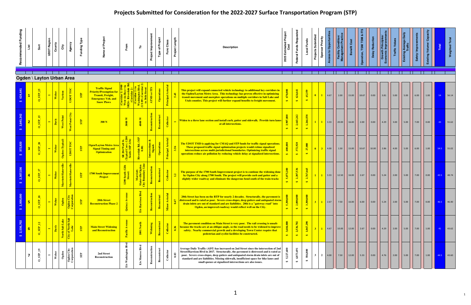| Recommended Funding | isi                     | š                                  | <b>UDOT Region</b><br>County | City                 | Agency                      | <b>Funding Type</b>      | roject                                                                                                                         | From                                | ۴                                                                            | Project Improvement    | <b>Type of Project</b>    | Class<br>Func               | Project Length | <b>Description</b>                                                                                                                                                                                                                                                                                                                                                                                                            | Estimated Project<br>Cost<br>2025         | al Funds Requ                              | <b>Local Funds</b>                           | Projects Submitted<br>Sponsor Priority | to Opportuni                                                                                       | Facility Condit<br>anagement Pra            | 8<br>nefit |                   |                    |      | <b>Traffic Valu</b>                               | le Daily<br>Existing Ave |                                                                                      | Existing Volume |    | Weighted                       |
|---------------------|-------------------------|------------------------------------|------------------------------|----------------------|-----------------------------|--------------------------|--------------------------------------------------------------------------------------------------------------------------------|-------------------------------------|------------------------------------------------------------------------------|------------------------|---------------------------|-----------------------------|----------------|-------------------------------------------------------------------------------------------------------------------------------------------------------------------------------------------------------------------------------------------------------------------------------------------------------------------------------------------------------------------------------------------------------------------------------|-------------------------------------------|--------------------------------------------|----------------------------------------------|----------------------------------------|----------------------------------------------------------------------------------------------------|---------------------------------------------|------------|-------------------|--------------------|------|---------------------------------------------------|--------------------------|--------------------------------------------------------------------------------------|-----------------|----|--------------------------------|
|                     |                         | Ogden \ Layton Urban Area          |                              |                      |                             |                          |                                                                                                                                |                                     |                                                                              |                        |                           |                             |                |                                                                                                                                                                                                                                                                                                                                                                                                                               |                                           |                                            |                                              |                                        |                                                                                                    |                                             |            |                   |                    |      |                                                   |                          |                                                                                      |                 |    |                                |
|                     |                         | $0$ STP                            | Webe<br>$\blacksquare$       | Various              | UDOT TOC                    | $\overline{\text{SP}}$   | <b>Traffic Signal</b><br><b>Priority/Preemption for</b><br>Transit, Freight,<br><b>Emergency Veh. and</b><br><b>Snow Plows</b> | $\mathbf{g}$                        |                                                                              | <b>ATMS</b>            | Operations                | Principal Arterial          |                | This project will expand connected vehicle technology to additional key corridors in<br>the Ogden/Layton Metro Area. This technology has proven effective in optimizing<br>transit movement and snowplow operations on multiple corridors in Salt Lake and<br>Utah counties. This project will further expand benefits to freight movement.                                                                                   | $\frac{1}{2}$<br>$\leftrightarrow$        | 624,641<br>$\leftrightarrow$               | 45,359<br>$\bullet$                          | $\vert 0 \vert$                        | 4.67                                                                                               |                                             | $15.00$    | $18.67$           | $\vert$ 0.00       | 3.81 | 5.00                                              | 5.00                     | 6.00                                                                                 | 1.00            | 54 | 56.14                          |
|                     | $\overline{2}$          | STP                                | Davis<br>$\blacksquare$      | West Point           | West Point City             | $\overline{\mathbf{SP}}$ | 300 N                                                                                                                          | 3000                                | 4000 W                                                                       |                        | Reconstruct               | Collector                   |                | Widen to a three lane section and install curb, gutter and sidewalk. Provide turn lanes<br>at all intersections.                                                                                                                                                                                                                                                                                                              | 3,907,8<br>$\leftrightarrow$              | 2,643,242<br>$\theta$                      | 1,264,558<br>$\theta$                        |                                        | $\begin{array}{ c c c c c c } \hline \textbf{1} & \textbf{1} & \textbf{3.33} \end{array}$          | 20.00                                       | 16.00      | 2.00              | $\vert 0.00 \vert$ | 4.29 | 3.00                                              | 5.00                     | $\begin{array}{ c c c c c } \hline \text{ } & \text{7.00} \\\hline \end{array}$      | 0.00            | 43 | $\overline{\phantom{0}}$ 55.62 |
|                     | $\overline{\mathbf{3}}$ | $\frac{1}{\sqrt{15}}$              | Weber<br>$\blacksquare$      | Ogden (Typical)      | <b>UDOT TOC</b>             | $\overline{\mathbf{S}}$  | <b>Dgen/Layton Metro Area</b><br><b>Signal Timing and</b><br><b>Optimization</b>                                               | Wall                                | erdale Rd. (MP $\begin{array}{ c } \hline 0.00) \hline \end{array}$<br>River | Intersections due      | Operations                | Principal Arterial          |                | The UDOT TMD is applying for CMAQ and STP funds for traffic signal operations.<br>These proposed traffic signal optimization projects would retime signalized<br>intersections across multi-jurisdictional boundaries. Optimizing traffic signal<br>operations reduce air pollution by reducing vehicle delay at signalized intersections.                                                                                    | $\frac{8}{2}$                             | 372,920<br>$\leftrightarrow$               | 27,080<br>$\leftrightarrow$                  |                                        | 4.00                                                                                               | 1.50                                        | 15.00      | $\mid 10.67 \mid$ | 10.00              |      | 4.00                                              | 5.00                     | 6.00                                                                                 | 1.00            |    | 54.5 55.02                     |
|                     | $\overline{4}$          | $STP_1T$                           | Weber                        | Marriott-Slaterville | Marriott-Slaterville        | STP                      | <b>1700 South Improvement</b><br><b>Project</b>                                                                                | 12th<br>$\frac{4}{3}$<br>85<br>1200 | Marriott-<br>Slaterville/Ogo<br>City Boundary I                              |                        | Reconstruct               | Collector                   |                | The purpose of the 1700 South Improvement project is to continue the widening done<br>by Ogden City along 1700 South. The project will provide curb and gutter and a<br>slightly wider roadway and eliminate the dangerous bend south of the train tracks                                                                                                                                                                     | 5,075,200                                 | 2,307,536<br>$\leftrightarrow$             | 2,767,665                                    |                                        | $\begin{array}{ c c c c c c } \hline \textbf{1} & \textbf{3.33} & \textbf{1} \ \hline \end{array}$ |                                             | 16.00      |                   | $\vert$ 0.00       | 5.24 | $\begin{array}{ c c }\n\hline\n2.00\n\end{array}$ | $\vert$ 5.00             | $\begin{array}{c c} \hline \text{7.00} \end{array}$                                  | 0.00            |    | 43.5 48.74                     |
|                     | $\overline{\mathbf{5}}$ | $\infty$<br>$\overline{\text{SP}}$ | Weber<br>$\blacksquare$      | Ogden                | ⊳ ≋<br>gden Cit<br>poration | $\overline{\mathbf{S}}$  | 20th Street<br><b>Reconstruction Phase 2</b>                                                                                   | Quincy                              | Blvd<br>E/o Harrisc                                                          | <b>S</b><br>Reconstruc | $\mathbf{t}$<br>Reconstru | $\frac{1}{2}$<br>Minor Arte | 0.47           | 20th Street has been on the RTP for nearly 2 decades. Structurally, the pavement is<br>distressed and is rated as poor. Severe cross-slopes, deep gutters and antiquated storm<br>drain inlets are out of standard and are liabilities. 20th is a "gateway road" into<br>Ogden, an improved roadway would reflect well on the City.                                                                                           | $\epsilon$<br>5,300,<br>$\leftrightarrow$ | $\epsilon$<br>2,000,0<br>$\leftrightarrow$ | $\mathbf{R}$<br>3,300,0<br>$\leftrightarrow$ | 3<br>$\mathbf{1}$                      |                                                                                                    |                                             | 16.00      | 6.00              | 0.00               | 5.24 | $\begin{array}{ c c }\n\hline\n2.00\n\end{array}$ | 5.00                     |                                                                                      | 0.00            |    | 46.5 46.40                     |
| ,536,702            | $6\phantom{a}$          | $0$ STP_12                         | Davis<br>$\rightarrow$       | North Salt Lake      | 'North Salt<br>Lake         | $\overline{\mathbf{SP}}$ | <b>Main Street Widening</b><br>and Reconstruction                                                                              | Pacific                             | 1001 North                                                                   | Widening               | Reconstruct               | Collector                   | $\frac{36}{1}$ | The pavement condition on Main Street is very poor. The rail crossing is unsafe<br>because the tracks are at an oblique angle, so the road needs to be widened to improve<br>safety. Nearby commercial growth and a developing Town Center require that<br>pedestrian and cyclist facilities be constructed.                                                                                                                  | 3,604,000<br>$\leftrightarrow$            | 2,536,702<br>$\leftrightarrow$             | 1,067,298<br>$\leftrightarrow$               | $3-1$<br>$\mathbf{1}$                  | 4.67                                                                                               | 10.00                                       | 12.00      |                   | $\vert$ 0.00       | 4.29 | 2.00                                              | 5.00                     | $\begin{array}{ c c c c c } \hline \text{7.00} & & \text{7.00} \\\hline \end{array}$ | 1.00            |    | $41$ 43.62                     |
|                     | $\overline{\mathbf{z}}$ | ${\bf STP\_19}$<br>⊝               | Weber                        | $_{\rm Ogden}$       | Ogden City<br>Corporation   | STP                      | 2nd Street<br>Reconstruction                                                                                                   | Blvd<br>E/o Washingt                | $\mathop{\mathrm{roe}}\nolimits\mathop{\mathrm{Blvd}}$<br>E/o Mon            | Reco                   | Reconstruct               | Collector                   | 0.83           | Average Daily Traffic (ADT) has increased on 2nd Street since the intersection of 2nd<br>Street/Harrison Blvd in 2017. Structurally, the pavement is distressed and is rated as<br>poor. Severe cross-slopes, deep gutters and antiquated storm drain inlets are out of<br>standard and are liabilities. Missing sidewalk, insufficient space for bike lanes and<br>small queues at signalized intersections are also issues. | $\leftrightarrow$                         | 4,873,691<br>$\leftrightarrow$             | 584,800<br>₩                                 | 3 <sup>1</sup><br>$\overline{2}$       | 4.00                                                                                               | $\begin{array}{ c c }\n\hline\n\end{array}$ | 12.00      | 5.33              | 0.00               | 4.76 | 2.00                                              | 5.00                     |                                                                                      | 1.00            |    | 44.5 43.60                     |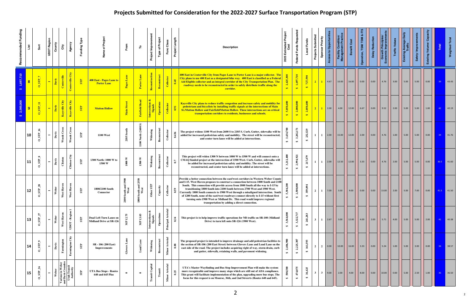| Recommended Funding | ist                     | Sort                       | <b>UDOT Region</b><br>County      |            | Agency<br>City                                                      | Funding Type             | of Projec                                                        | From                                | ۴                                                 | Project Improvement               | <b>Type of Project</b> | Func Class                | Project Length | <b>Description</b>                                                                                                                                                                                                                                                                                                                                                                                                                                                                                                                                                                                                                                     | Estimated Project<br>Cost<br>2025 | Reque<br>Federal Funds         | Local Funds                    | Projects Submitted<br>Sponsor Priority | <b>Access to Opportunit</b> | <b>Facility Condition/</b><br>Management Practic | Benefit Cost | ation, TSM/TDM       | <b>Delay Reducti</b> | Growth Princip<br>onomic Improv | <b>Traffic Valu</b> | <b>Ilische</b><br>Existing Averag<br>Traffic               | <u>ng</u>                                                  | ්<br>Existing Volume/ | Total           | Weighted <sup>-</sup>                    |
|---------------------|-------------------------|----------------------------|-----------------------------------|------------|---------------------------------------------------------------------|--------------------------|------------------------------------------------------------------|-------------------------------------|---------------------------------------------------|-----------------------------------|------------------------|---------------------------|----------------|--------------------------------------------------------------------------------------------------------------------------------------------------------------------------------------------------------------------------------------------------------------------------------------------------------------------------------------------------------------------------------------------------------------------------------------------------------------------------------------------------------------------------------------------------------------------------------------------------------------------------------------------------------|-----------------------------------|--------------------------------|--------------------------------|----------------------------------------|-----------------------------|--------------------------------------------------|--------------|----------------------|----------------------|---------------------------------|---------------------|------------------------------------------------------------|------------------------------------------------------------|-----------------------|-----------------|------------------------------------------|
| 1,697,710           | $\overline{\mathbf{8}}$ | $0$ STP                    | Davis<br>$\blacksquare$           |            | Centerville City<br>Centerville                                     | STP                      | 400 East - Pages Lane to<br><b>Porter Lane</b>                   |                                     | Porter Lane                                       | Reconstructi                      | Reconstruct            | Collector                 |                | 400 East in Centerville City from Pages Lane to Porter Lane is a major collector. The<br>City plans to use 400 East as a designated bike way. 400 East is classified as a Federal<br>Aid Eligible collector and an integral corridor of the City Transportation Plan. The<br>roadway needs to be reconstructed in order to safely distribute traffic along the<br>corridor.                                                                                                                                                                                                                                                                            | 2,425,300<br>$\bigoplus$          | 1,697,710<br>$\bullet$         | 727,590<br>$\leftrightarrow$   | $\vert 2 \vert$<br>$\mathbf{1}$        | 4.67                        | 10.00                                            | 16.00        | 0.00                 | 0.00                 | 4.76                            | 3.00                | $\vert$ 5.00                                               | $\begin{array}{ c c } \hline 5.00 \\ \hline \end{array}$   | 0.00                  | 39              | $\begin{array}{ c c } 43.43 \end{array}$ |
|                     | 9                       | <b>STP</b>                 | Davis<br>$\blacksquare$           |            | Kaysville City<br>Kaysville City                                    | $\overline{\mathbf{SP}}$ | <b>Mutton Hollow</b>                                             | $\frac{1}{2}$<br>Main               | <b>Fairfield Road</b>                             | od,<br>Intersections &<br>Signals | Operations             | Collector                 | 691            | Kaysville City plans to reduce traffic congestion and increase safety and mobility for<br>pedestrians and bicyclists by installing traffic signals at the intersections of Main<br>St./Mutton Hollow and Fairfield/Mutton Hollow. These intersections are on critical<br>transportation corridors to residents, businesses and schools.                                                                                                                                                                                                                                                                                                                | 5,050,<br>$\leftrightarrow$       | 2,000,000<br>$\leftrightarrow$ | 2,050,400<br>$\leftrightarrow$ |                                        | 2.00                        | 4.00                                             | 12.00        | 6.67                 | $\vert$ 0.00         | 9.52                            | 2.00                | 5.00                                                       | $\vert$ 5.00                                               | 1.00                  | 42              | $\parallel$ 42.19                        |
|                     | 10                      | ${\bf STP\_16}$<br>$\circ$ | Davis<br>$\overline{\phantom{a}}$ |            | Woods Cross<br>Woods Cros                                           | STP                      | <b>1100 West</b>                                                 | 2185 South                          | North (2600 S)<br>$100$                           | Widening                          | Reconstruct            | Collector                 | 0.436          | The project widens 1100 West from 2600 S to 2185 S. Curb, Gutter, sidewalks will be<br>added for increased pedestrian safety and mobility. The street will be reconstructed,<br>and center turn lanes will be added at intersections.                                                                                                                                                                                                                                                                                                                                                                                                                  | 3,434,700<br>$\bullet$            | 3,202,171<br>$\leftrightarrow$ | 232,529<br>₩                   | $\mathbf{1}$                           | 2.00                        | 15.00                                            | 12.00        | $\vert$ 2.00 $\vert$ | $\vert 0.00 \vert$   | $\vert$ 4.76 $\vert$            | $\vert$ 1.00        | $\vert$ 5.00                                               | $\begin{array}{ c c } \hline 5.00 \\ \hline \end{array}$   | 0.00                  | 34              | $\vert$ 41.76                            |
|                     | 11                      | $\mathbf{STP\_8}$          | Davis<br>$\overline{\phantom{a}}$ |            | Clinton City<br>Clinton                                             | ${\bf S}{\bf P}$         | 1300 North: 1000 W to<br>1500 W                                  | $1000~\rm{W}$                       | $1500\ \rm{W}$                                    | Widening                          | Reconstruct            | Collector                 | 0.7            | This project will widen 1300 N between 1000 W to 1500 W and will connect onto a<br>CMAQ funded project at the intersection of 1500 West. Curb, Gutter, sidewalks will<br>be added for increased pedestrian safety and mobility. The street will be<br>reconstructed, and center turn lanes will be added at intersections.                                                                                                                                                                                                                                                                                                                             | 3,212,400<br>$\clubsuit$          | 2,994,921<br>$\leftrightarrow$ | 217,479<br>$\leftrightarrow$   | $\mathbf{1}$<br>$\mathbf{1}$           | 2.00                        | 12.50                                            | 12.00        |                      | $\vert$ 0.00         | 4.76                            | 2.00                | $\vert$ 5.00                                               | $\begin{array}{ c c } \hline 5.00 \\ \hline \end{array}$   | 0.00                  |                 | 36.5 41.60                               |
|                     | 12                      | SIP<br>$\circ$             | Weber<br>$\blacksquare$           |            | West Haven<br>West Haven                                            | STP                      | 1800/2100 South<br><b>Connector</b>                              | 1900<br>uth a<br>West<br>නි<br>2100 | 2550<br>uth and<br>West<br>නි<br>$\overline{180}$ | Other STP                         | Capacity               | ${\bf Co1} \label{eq:1}$  | 0.59           | Provide a better connection between the east/west corridors in Western Weber County<br>and I-15. West Haven proposes to construct a connection between 1800 South and 2100<br>South. This connection will provide access from 1800 South all the way to I-15 by<br>transitioning 1800 South into 2100 South between 2700 West and 1900 West.<br>Currently 1800 South connects to 1900 West through a misaligned intersection. South<br>of 1200 South, none of the east/west roadways connect directly to I-15 without first<br>turning onto 1900 West or Midland Dr. This road would improve regional<br>transportation by adding a direct connection. | $\bullet$                         | 2,500,000<br>$\leftrightarrow$ | 359,094<br>$\leftrightarrow$   | 2<br>$\mathbf{1}$                      | 7.00                        |                                                  | 9.00         | $\vert$ 0.00 $\vert$ | $\vert$ 0.00 $\vert$ | 13.00 2.00                      |                     | $\begin{array}{ c c c } \hline 5.00 \\ \hline \end{array}$ |                                                            | $\vert$ 0.00 $\vert$  |                 | 41.5 41.50                               |
|                     | 13                      | $0$ _STP_                  | Weber<br>$\overline{\phantom{0}}$ | West Haven | UDOT - Region                                                       | $\overline{\mathbf{S}}$  | <b>Dual Left Turn Lanes on</b><br><b>Midland Drive at SR-126</b> | MP 12.75                            | MP 13.03                                          | ಯಿ<br>Intersections<br>Signals    | Operations             | Principal Arterial        | 0.34           | This project is to help improve traffic operations for NB traffic on SR-108 (Midland<br>Drive) to turn left onto SR-126 (1900 West).                                                                                                                                                                                                                                                                                                                                                                                                                                                                                                                   | 3,564,000<br>$\Theta$             | 3,322,717<br>$\clubsuit$       | 241,283<br>$\clubsuit$         | 3 <sup>1</sup><br>$\mathbf{1}$         | 2.67                        | 3.00                                             | 12.00        | 4.00                 | 2.00                 | 5.71                            | 4.00                | 5.00                                                       | 5.00                                                       | 2.00                  | 41              | $\vert$ 40.38                            |
|                     | 14                      | $\bullet$<br>$0$ _STP_     | Davis                             |            | $\operatorname{City}$<br>Farmington<br><b>Farmington</b>            | ${\bf STP}$              | SR - 106 (200 East)<br>Improvements                              | Glovers La                          | $\mathbb{E}$<br>ਵ                                 | Widening                          | Reconstruct            | <b>Arterial</b><br>Minor  | 0.88           | The proposed project is intended to improve drainage and add pedestrian facilities to<br>the section of SR-106 (200 East Street) between Glovers Lane and Lund Lane on the<br>east side of the road. The project includes acquiring right of way, storm drain, curb<br>and gutter, sidewalk, retaining walls, and pavement widening.                                                                                                                                                                                                                                                                                                                   | 2,406,900<br>$\clubsuit$          | 2,225,307<br>$\bigoplus$       | $161,\!593$<br>₩               | $\overline{2}$<br>$\overline{2}$       | 0.00                        | 10.00                                            | 16.00        | 3.33                 | 0.00                 | 5.24                            | 1.00                | 5.00                                                       | $\begin{array}{ c c c } \hline 3.00 \\ \hline \end{array}$ | 0.00                  | 34 <sup>°</sup> | 38.57                                    |
|                     | 15                      | $\frac{2}{6}$<br>$0$ _STP  | Weber                             |            | Various in Weber<br>and Davis Counties<br>Utah Transit<br>Authority | $S_{\rm TP}$             | <b>UTA Bus Stops - Routes</b><br>640 and 645 Plus                | $\bullet$                           | $\bullet$                                         | <b>Transit Capital</b>            | Transit                | <b>Arterial</b><br>Minor. | 0.25           | UTA's Master Wayfinding and Bus Stop Improvement Plan will make the system<br>more recognizable and improve many stops which are still out of ADA compliance.<br>This grant will facilitate implementation of the plan, upgrading more bus stops. The<br>focus for this request is on Monroe, 36th, and 2nd Streerts (Routes 640 and 645).                                                                                                                                                                                                                                                                                                             | 508,500<br>$\leftrightarrow$      | 474,075<br>$\leftrightarrow$   | 34,425<br>₩                    | 3 <sup>1</sup><br>$3^{\circ}$          | 9.00                        | 2.00                                             | 4.00         | 8.00                 | 0.00                 | 10.00                           | 0.00                | 5.00                                                       | 2.50                                                       | 1.00                  | 36              | $\vert$ 36.50                            |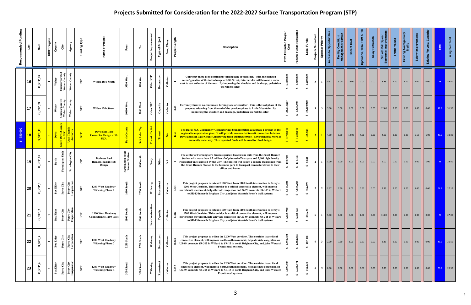| Recommended Funding | List      | Sort                                                | <b>UDOT Region</b> | County           | Agency<br>City                                                      | Funding Type            | Project<br>৳<br>Name                                                 | From                                      | ۴                 | Project Improvement       | <b>Type of Project</b> | Func Class            | Length<br>Project | <b>Description</b>                                                                                                                                                                                                                                                                                                                                                                  | <b>Estimated Project</b><br>Cost<br>2025 | Federal Funds Reque            | <b>Local Funds</b>              | <b>Projects Submitted</b><br><b>Sponsor Priority</b> | ccess to Opportunit | Facility Condition                          | Benefit Cost | ration, TSM/TDM    | Delay Reduction | Growth Princip                                    | <b>Traffic Valu</b>                               | erage Daily<br>Existing Ave | worduil/Ns   | င်္စ<br>Existing Volume/ | Total | <b>Weighted Total</b>                             |
|---------------------|-----------|-----------------------------------------------------|--------------------|------------------|---------------------------------------------------------------------|-------------------------|----------------------------------------------------------------------|-------------------------------------------|-------------------|---------------------------|------------------------|-----------------------|-------------------|-------------------------------------------------------------------------------------------------------------------------------------------------------------------------------------------------------------------------------------------------------------------------------------------------------------------------------------------------------------------------------------|------------------------------------------|--------------------------------|---------------------------------|------------------------------------------------------|---------------------|---------------------------------------------|--------------|--------------------|-----------------|---------------------------------------------------|---------------------------------------------------|-----------------------------|--------------|--------------------------|-------|---------------------------------------------------|
|                     | 16        | $\boldsymbol{z}$<br>$0$ _STP                        | $\blacksquare$     | Weber            | Unincorporated<br>Weber County<br>Weber County                      | STP                     | Widen 2550 South                                                     | 3500 West                                 | 5100 West         | ${\bf S}{\bf P}$<br>Other | Reconstruct            | Collector             |                   | Currently there is no continuous turning lane or shoulder. With the planned<br>reconfiguration of the interchange at 25th Street, this corridor will become a main<br>west to east collector of the west. By improving the shoulder and drainage, pedestrian<br>use will be safer.                                                                                                  | 0,000<br>₩                               | 1,500,000<br>$\bullet$         | 1,200,000<br>$\leftrightarrow$  | $\mathbf{3}$<br>1                                    | 0.67                | 5.00                                        | 16.00        | 0.00               | 0.00            | 3.33                                              | 2.00                                              | 5.00                        | 5.00         | 0.00                     | 28    | 32.00                                             |
|                     | 17        | $\mathbf{z}$<br>STP<br>$\circ$                      | $\blacksquare$     | Weber            | Unincorporated<br>Weber County<br>Weber Cou                         | STP                     | Widen 12th Street                                                    | est<br>⋗<br>10000                         | $7100$ West       | Other STP                 | $Chapter$              | Collector             | 3.48              | Currently there is no continuous turning lane or shoulder. This is the last phase of the<br>proposed widening from the end of the previous phase to Little Mountain. By<br>improving the shoulder and drainage, pedestrian use will be safer.                                                                                                                                       | 20,233,807<br>$\leftrightarrow$          | 9,833,807<br>$\leftrightarrow$ | 10,400,000<br>$\leftrightarrow$ | 3 <sup>1</sup><br>$3-1$                              | 3.00                | 3.50                                        | 6.00         | 0.00               | 0.00            | 12.00                                             | $\begin{array}{ c c }\n\hline\n2.00\n\end{array}$ | 5.00                        | 5.00         | 0.00                     |       | 31.5 31.50                                        |
| 750.000             | <b>18</b> | $SIP_113$                                           | $\blacksquare$     | Davis            | Utah Trans <mark>i</mark><br>Authority<br>Ith Davis C<br>to SLC     | <b>STP</b>              | <b>Davis Salt Lake</b><br><b>Connector Design - OL</b><br><b>UZA</b> | Davis County                              | Salt Lake City    | <b>Transit Capital</b>    | Transit                | $\mathbf{A}$          | 12.4              | The Davis-SLC Community Connector has been identified as a phase 1 project in the<br>regional transportation plan. It will provide an essential transit connection between<br>Davis and Salt Lake County, improving upon existing service. Environmental work is<br>currently underway. The requested funds will be used for final design.                                          | 4,700,000<br>$\leftrightarrow$           | 1,500,000<br>$\leftrightarrow$ | 108,924<br>$\leftrightarrow$    | $3-1$<br>$\mathbf{1}$                                | 4.00                | 1.50                                        | $12.00$      | 4.00               | $\vert$ 0.00    | 4.00                                              | 2.00                                              | $\vert 0.00 \vert$          | $\vert$ 1.50 | 1.00                     |       | $27.5$ 30.00                                      |
|                     | 19        | $\mathbf{a}$<br>$\mathbf{S}\mathbf{P}_-$<br>$\circ$ | $\blacksquare$     | Davis            | Utah<br>City<br>Farmington<br>Farmington                            | STP                     | <b>Business Park</b><br><b>RemoteTransit Hub</b><br>Design           | <b>Farmington Front</b><br>Runner Station | 800 North         | ${\bf Study}$             | Other                  | $\boldsymbol{\Sigma}$ | $\blacksquare$    | The center of Farmington's business park is located one mile from the Front Runner<br>Station with more than 1.2 million sf of planned office space and 2,600 high density<br>residential units entitled by the City. The project will design a remote transit hub from<br>the Front Runner Station to the business park to transport commuters from to their<br>offices and homes. | $\approx$<br>$\leftrightarrow$           | 131,175<br>$\leftrightarrow$   | 9,525<br>$\clubsuit$            | 2 <sup>1</sup><br>$\mathbf{1}$                       | 1.00                | 3.00                                        | 9.00         | 5.00               | 0.00            | 6.00                                              | 0.00                                              | 0.00                        | 3.00         | 1.00                     | 28    | $\begin{array}{ c c }\n\hline\n\end{array}$ 28.00 |
|                     | 20        | $S_{\rm T}$<br>$\circ$                              | $\blacksquare$     | <b>Box Elder</b> | Perry City<br>Corporation<br>$\mathrm{City}$<br>Perry               | ${\bf S}{\bf T}{\bf P}$ | 1200 West Roadway<br><b>Widening Phase 1</b>                         | S.<br>1600                                | <b>2250 South</b> | Widening                  | construct<br>Re        | Collector             | 0.521             | This project proposes to extend 1100 West from 1100 South intersection to Perry's<br>1200 West Corridor. This corridor is a critical connective element, will improve<br>north/south movement, help alleviate congestion on US-89, connects SR-315 in Willard<br>to SR-13 in north Brigham City, and joins Wasatch Front's trail systems.                                           | 5,116,100<br>$\leftrightarrow$           | 4,653,203<br>$\leftrightarrow$ | 462,897<br>$\leftrightarrow$    | $5-1$                                                | $2 \mid 2.67$       | $\begin{array}{ c c }\n\hline\n\end{array}$ | 8.00         | $\vert 0.67 \vert$ | $\vert$ 0.00    | $\begin{array}{ c c }\n\hline\n3.33\n\end{array}$ | $\begin{array}{ c c }\n\hline\n2.00\n\end{array}$ | 5.00                        | 3.00         |                          |       | $24.5$ 27.17                                      |
|                     | 21        | $\mathbf{a}$<br>STP<br>$\circ$                      | $\blacksquare$     | <b>Box Elder</b> | Perry City<br>Corporation<br>Perry City                             | STP                     | 1100 West Roadway<br><b>Connection to 1200 West</b>                  | 1100 South                                | $1600$ South      | New Construction          | Capacity               | Collector             | 0.389             | This project proposes to extend 1100 West from 1100 South intersection to Perry's<br>1200 West Corridor. This corridor is a critical connective element, will improve<br>north/south movement, help alleviate congestion on US-89, connects SR-315 in Willard<br>to SR-13 in north Brigham City, and joins Wasatch Front's trail systems.                                           | 6,878,900<br>$\clubsuit$                 | 6,296,661<br>$\clubsuit$       | 457,239<br>$\leftrightarrow$    | 6<br>1                                               | 5.00                | 1.00                                        | 3.00         | 1.00               | 0.00            | 11.00                                             | 3.00                                              | 5.00                        | 3.00         | 0.00                     | 27    | $\vert$ 27.00                                     |
|                     | 22        | STP<br>$\mathsf{C}$                                 | $\blacksquare$     | <b>Box Elder</b> | Perry City<br>Corporation<br>$\operatorname{City}$<br>${\rm Perry}$ | STP                     | 1200 West Roadway<br><b>Widening Phase 2</b>                         | 2250 South                                | South<br>2700     | Widening                  | Reconstr               | Collector             | 0.393             | This project proposes to widen the 1200 West corridor. This corridor is a critical<br>connective element, will improve north/south movement, help alleviate congestion on<br>US-89, connects SR-315 in Willard to SR-13 in north Brigham City, and joins Wasatch<br>Front's trail systems.                                                                                          | 2,894,500<br>$\leftrightarrow$           | 2,582,005<br>$\bigoplus$       | 187,495<br>$\bullet$            | $3^{\circ}$<br>6                                     | 2.00                | 7.50                                        | 8.00         | 0.67               | 0.00            | 3.33                                              | 2.00                                              | 5.00                        | 3.00         | 0.00                     |       | 23.5 26.50                                        |
|                     | 23        | $\bullet$<br>$0$ _STP_                              | $\blacksquare$     | <b>Box Elder</b> | Perry City<br>Corporation<br>Perry City                             | STP                     | 1200 West Roadway<br><b>Widening Phase 4</b>                         | $\frac{4}{3}$<br>3000 Son                 | South<br>3600     | Widening                  | Reconstruct            | Collector             | 0.753             | This project proposes to widen the 1200 West corridor. This corridor is a critical<br>connective element, will improve north/south movement, help alleviate congestion on<br>US-89, connects SR-315 in Willard to SR-13 in north Brigham City, and joins Wasatch<br>Front's trail systems.                                                                                          | 3,696,505<br>$\leftrightarrow$           | 3,334,371<br>$\leftrightarrow$ | 362,134<br>$\bullet$            | 5 <sup>5</sup><br>6                                  | 2.00                | 7.50                                        | 8.00         | 0.67               | 0.00            | 3.33                                              | 2.00                                              | 5.00                        | 3.00         | 0.00                     |       | 23.5 26.50                                        |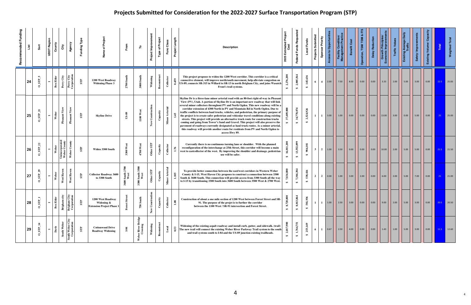| Recommended Funding | List | Sort                                    | <b>UDOT Region</b>       | County            | Agency<br>City                                                 | Funding Type           | Proje<br>Name                                                       | From                          | ۴                                        | Project Improvem             | <b>Type of Project</b>           | Class<br>Func                         | Project Length | <b>Description</b>                                                                                                                                                                                                                                                                                                                                                                                                                                                                                                                                                                                                                                                                                                                                                                                                                                                                                                        | 5 Estimated Project<br>Cost<br>2025 | Federal Funds Requested         | Local Funds                         | Submitted<br>Sponsor Priority<br><b>Projects</b> | ess to Opportunit | Facility Condition/<br>Aanagement Practic         | Benefit Cost | ration, TSM/TDM & IT: | Reduction<br>Delay | <b>Growth Principle</b><br>onomic Improven                 | <b>Traffic Value</b> | Existing Average Daily<br>Traffic | Improv<br>ety) | Existing Volume/ | Total        | Weighted Total                                                  |
|---------------------|------|-----------------------------------------|--------------------------|-------------------|----------------------------------------------------------------|------------------------|---------------------------------------------------------------------|-------------------------------|------------------------------------------|------------------------------|----------------------------------|---------------------------------------|----------------|---------------------------------------------------------------------------------------------------------------------------------------------------------------------------------------------------------------------------------------------------------------------------------------------------------------------------------------------------------------------------------------------------------------------------------------------------------------------------------------------------------------------------------------------------------------------------------------------------------------------------------------------------------------------------------------------------------------------------------------------------------------------------------------------------------------------------------------------------------------------------------------------------------------------------|-------------------------------------|---------------------------------|-------------------------------------|--------------------------------------------------|-------------------|---------------------------------------------------|--------------|-----------------------|--------------------|------------------------------------------------------------|----------------------|-----------------------------------|----------------|------------------|--------------|-----------------------------------------------------------------|
|                     | 24   | ΙО,<br>$0$ _STP_                        | $\blacksquare$           | <b>Box Elder</b>  | Perry City<br>Corporation<br>Perry City                        | STP                    | 1200 West Roadway<br><b>Widening Phase 3</b>                        |                               | 3000 Son                                 | Widening                     | Reconstruct                      | ${\bf Co1} \label{eq:2}$<br>0.459     |                | This project proposes to widen the 1200 West corridor. This corridor is a critical<br>connective element, will improve north/south movement, help alleviate congestion on<br>US-89, connects SR-315 in Willard to SR-13 in north Brigham City, and joins Wasatch<br>Front's trail systems.                                                                                                                                                                                                                                                                                                                                                                                                                                                                                                                                                                                                                                | ,276,200<br>$\bullet$               | 2,005,564<br>$\leftrightarrow$  | 145,636<br>$\leftrightarrow$        | 6<br>$\overline{4}$                              | 2.00              | $\begin{array}{ c c }\n\hline\n\end{array}$ 7.50  | 8.00         | 0.00                  | 0.00               | 3.33                                                       | 2.00                 | 5.00                              |                | 0.00             | $22.5$ 25.83 |                                                                 |
|                     | 25   | $0$ _STP_21                             | $\overline{\phantom{0}}$ | Weber             | Pleasant View<br>≋<br>ant Vie<br>Ě                             | STP                    | <b>Skyline Drive</b>                                                | <b>US-89</b>                  | $1100$ West                              | Construction<br>$_{\rm New}$ | Capacity                         | <b>Arterial</b><br>$\mathbf{Minor}$ . |                | Skyline Dr is a three-lane minor arterial road with an 80-foot right-of-way in Pleasant<br>View (PV), Utah. A portion of Skyline Dr is an important new roadway that will link<br>several minor collectors throughout PV and North Ogden. This new roadway will be a<br>corridor extension of 4300 North in PV and Mountain Rd in North Ogden. Due to<br>traffic conflicts between haul trucks, vehicles, and pedestrian, the primary purpose of<br>the project is to create safer pedestrian and vehicular travel conditions along existing<br>streets. This project will provide an alternative truck route for construction trucks<br>coming and going from Tower's Sand and Gravel. This project will also preserve the<br>pavement of roadways currently designated as haul truck routes. As a minor arterial,<br>this roadway will provide another route for residents from PV and North Ogden to<br>access Hwy 89. |                                     | 34,770,874<br>$\leftrightarrow$ | 2,524,926<br>$\bullet$              | $\mathbf{1}$                                     | 3.00              | 1.00                                              | 0.00         | 0.00                  | 0.00               | 13.00                                                      | 3.00                 | 0.00                              | 5.00           | 0.00             | $-25$        | $\begin{array}{ c c } \hline \textbf{25.00} \hline \end{array}$ |
|                     | 26   | 22<br>$0\_STP$                          | $\overline{ }$           | Weber             | Unincorporated<br>Weber County<br>Weber County                 | STP                    | Widen 3300 South                                                    | 3300 West                     | 4700 West                                | Other STP                    | Capacity                         | Collector<br>1.76                     |                | Currently there is no continuous turning lane or shoulder. With the planned<br>reconfiguration of the interchange at 25th Street, this corridor will become a main<br>west to eastcollector of the west. By improving the shoulder and drainage, pedestrian<br>use will be safer.                                                                                                                                                                                                                                                                                                                                                                                                                                                                                                                                                                                                                                         | 16,011,200<br>$\bigoplus$           | 13,552,099<br>$\leftrightarrow$ | 984,101<br>$\leftrightarrow$        | $\overline{2}$<br>$\mathbf{3}$                   | 1.00              | 3.50                                              | 0.00         | 0.00                  | 0.00               | 10.00                                                      | 2.00                 | 5.00                              | 5.00           | 0.00             | 21.5 21.50   |                                                                 |
|                     | 27   | $0$ _STP_29                             | $\overline{\phantom{0}}$ | $\bar{W}$ eber    | West Haven<br>West Haven                                       | STP                    | <b>Collector Roadway 3600</b><br>to 3300 South                      | 2700<br>South<br>West<br>3600 | 3300 South 3500<br>West                  | Other STP                    | $\mathop{\rm Capacity}\nolimits$ | <b>Arterial</b><br>1.105<br>Minor     |                | To provide better connection between the east/west corridors in Western Weber<br>County & I-15, West Haven City proposes to construct a connection between 3300<br>South & 3600 South. This connection will provide access from 3300 South all the way<br>to I-15 by transitioning 3300 South into 3600 South between 3500 West & 2700 West.                                                                                                                                                                                                                                                                                                                                                                                                                                                                                                                                                                              |                                     | 7,304,384<br>$\leftrightarrow$  | 530,416<br>$\leftrightarrow$        | $\overline{2}$<br>$\overline{2}$                 | 0.00              | 1.00                                              | 3.00         | 2.00                  | 0.00               | $\vert$ 6.00                                               | 2.00                 | 5.00                              | 7.00           | 0.00             | 21           | $\vert$ 21.00                                                   |
|                     | 28   | $\blacksquare$<br>$\Xi$<br>$\circ$      | $\overline{\phantom{0}}$ | $\Xi$<br>Box Elde | $\mathbf{d}\mathbf{r}$<br>E s<br>Brigham<br>Brigham<br>Corpora | STP                    | 1200 West Roadway<br>Widening &<br><b>Extension Project Phase 1</b> | ö.                            | $\oplus$<br><u>ទី</u><br>750             | Consti<br>$\geq$<br>ž        | $\mathbf{z}$<br>Capacit          | ${\bf Collector}$<br>1.08             |                | Construction of about a one mile section of 1200 West between Forest Street and SR-<br>91. The purpose of the projet is to further the corridor<br>between the 1100 West / SR-91 intersection and Forest Street.                                                                                                                                                                                                                                                                                                                                                                                                                                                                                                                                                                                                                                                                                                          | 8,720<br>$\leftrightarrow$          | 8,013,864<br>$\leftrightarrow$  | $\frac{8}{3}$<br>581,9<br>$\bullet$ | $\mathbf{1}$                                     | 1.00              | $\begin{array}{ c c }\n\hline\n2.50\n\end{array}$ | 3.00         | 0.00                  | 0.00               | $\begin{array}{ c c c } \hline 9.00 \\ \hline \end{array}$ | 2.00                 | 5.00                              | 3.00           | 0.00             | 20.5 20.50   |                                                                 |
|                     | 29   | ${\bf S} {\bf T} {\bf P}$ 14<br>$\circ$ | $\overline{\phantom{0}}$ | Davis             | Weber City<br>rporation<br>South Weber<br>South<br>Cor         | $\overline{\text{SP}}$ | <b>Cottonwood Drive</b><br><b>Roadway Widening</b>                  | $-84$                         | idge<br>River<br>rossin<br>$\frac{1}{2}$ | Widening                     | ${\bf Re} {\bf construct}$       | Local<br>0.53                         |                | Widening of the existing aspalt roadway and install curb, gutter, and sidewalk. (trail)<br>The new trail will connect the existing Weber River Parkway Trail system to the south<br>and trail systems south to I-84 and the US-89 junction existing trailheads.                                                                                                                                                                                                                                                                                                                                                                                                                                                                                                                                                                                                                                                           | 2,017,900<br>$\clubsuit$            | 1,764,751<br>$\leftrightarrow$  | 253,149<br>$\bullet$                | 6<br>$\mathbf{1}$                                | 0.67              | $\begin{array}{ c c }\n\hline\n2.50\n\end{array}$ | 4.00         | 0.00                  | 0.00               | 1.43                                                       | 1.00                 | 5.00                              | 3.00           | 0.00             | $11.5$ 12.60 |                                                                 |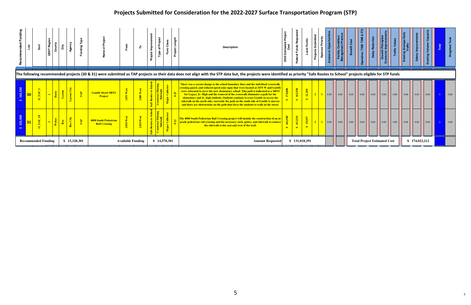| ded Fundin |                            |              | UDOT Req                 | čiγ                  | ರಾ            |                              |                                               | Fron                     | ۴   | Impro<br>ಕ<br>Proje | Proje<br>$\overline{\mathbf{o}}$<br>Type |              | Proje | <b>Description</b><br>The following recommended projects (30 & 31) were submitted as TAP projects so their data does not align with the STP data but, the projects were identified as priority "Safe Routes to School" projects eligible for STP fun                                                                                                                                                                                                                                                                                                                                                                         | 2025         |                           |        | Priority<br>Spon                               |      |              |                      | 은            |                      |                                     |              |                      |               |  |              |
|------------|----------------------------|--------------|--------------------------|----------------------|---------------|------------------------------|-----------------------------------------------|--------------------------|-----|---------------------|------------------------------------------|--------------|-------|------------------------------------------------------------------------------------------------------------------------------------------------------------------------------------------------------------------------------------------------------------------------------------------------------------------------------------------------------------------------------------------------------------------------------------------------------------------------------------------------------------------------------------------------------------------------------------------------------------------------------|--------------|---------------------------|--------|------------------------------------------------|------|--------------|----------------------|--------------|----------------------|-------------------------------------|--------------|----------------------|---------------|--|--------------|
|            | 30 <sub>1</sub>            |              |                          | Layto                | $\frac{1}{2}$ | $\frac{1}{2}$                | <b>Gentile Street SRTS</b><br><b>Project</b>  | 3475                     | 200 |                     |                                          |              |       | There was a recent change to the school boundary lines and the mid-block crosswalk,<br>crossing guard, and reduced speed zone signs that were located at 3475 W and Gentile<br>were relocated to serve the new elementary school. This path is indicated as a SRTS<br>for Legacy Jr. High and the removal of the crosswalk eliminates a path for the<br>elementary and Jr. high students. Students continue to cross Gentile to access the<br>sidewalk on the north side; currently the path on the south side of Gentile is uneven<br>and there are obstructions on the path that force the students to walk on the street. |              | 162,<br>$\leftrightarrow$ | 12,250 | $\begin{array}{c} \hline \hline 2 \end{array}$ | 0.00 | $\big  0.00$ | $\vert$ 0.00 $\vert$ | $\vert$ 0.00 | $\vert$ 0.00 $\vert$ | $\big  0.00$                        | $\vert$ 0.00 | $\vert$ 0.00 $\vert$ |               |  | $\vert$ 0.00 |
|            |                            | $\mathbf{R}$ | $\overline{\phantom{0}}$ | Roy<br>$\frac{1}{2}$ | Roy City      | $\left  \frac{1}{2} \right $ | 4000 South Pedestrian<br><b>Rail Crossing</b> |                          |     |                     |                                          |              |       | The 4000 South Pedestrian Rail Crossing project will include the construction of an at-<br>grade pedestrian rail crossing and the necessary curb, gutter, and sidewalk to connect<br>the sidewalk to the east and west of the trail.                                                                                                                                                                                                                                                                                                                                                                                         | $\mathbf{a}$ | $\frac{1}{4}$             | 29.9   |                                                | 0.00 | $\vert$ 0.00 | $\vert$ 0.00 $\vert$ | $\vert$ 0.00 | $\vert$ 0.00         | $\big  0.00$                        | $\vert$ 0.00 | $\vert$ 0.00         | $\big  0.00$  |  | $\vert$ 0.00 |
|            | <b>Recommended Funding</b> |              |                          |                      |               | \$15,320,301                 |                                               | <b>Available Funding</b> |     |                     |                                          | \$14,570,301 |       | <b>Amount Requested</b>                                                                                                                                                                                                                                                                                                                                                                                                                                                                                                                                                                                                      |              | \$131,018,391             |        |                                                |      |              |                      |              |                      | <b>Total Project Estimated Cost</b> |              |                      | \$174,022,212 |  |              |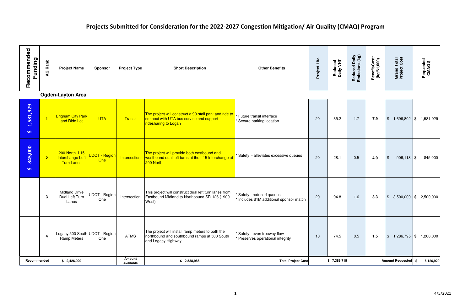# Projects Submitted for Consideration for the 2022-2027 Congestion Mitigation/ Air Quality (CMAQ) Program

| Recommended<br>Funding | Rank<br>σ               | <b>Project Name</b>                                     | <b>Sponsor</b>       | <b>Project Type</b>        | <b>Short Description</b>                                                                                                   | <b>Other Benefits</b>                                             | Project Life    | Reduced<br>Daily VHT | Reduced Daily<br>Emissions (kg) | Benefit/Cost:<br>(kg/\$1,000) | <b>Grand Total</b><br>Project Cost | Requested<br>CMAQ\$        |
|------------------------|-------------------------|---------------------------------------------------------|----------------------|----------------------------|----------------------------------------------------------------------------------------------------------------------------|-------------------------------------------------------------------|-----------------|----------------------|---------------------------------|-------------------------------|------------------------------------|----------------------------|
|                        |                         | <b>Ogden-Layton Area</b>                                |                      |                            |                                                                                                                            |                                                                   |                 |                      |                                 |                               |                                    |                            |
| 1,581,929<br>$\bullet$ | $\overline{\mathbf{1}}$ | <b>Brigham City Park</b><br>and Ride Lot                | <b>UTA</b>           | Transit                    | The project will construct a 90-stall park and ride to<br>connect with UTA bus service and support<br>ridesharing to Logan | Future transit interface<br>Secure parking location               | 20              | 35.2                 | 1.7                             | 7.9                           | $\frac{1}{2}$                      | $1,696,802$ \$ 1,581,929   |
| 845,000<br>$\bullet$   | $\overline{2}$          | 200 North 1-15<br>Interchange Left<br><b>Turn Lanes</b> | UDOT - Region<br>One | Intersection               | The project will provide both eastbound and<br>westbound dual left turns at the I-15 Interchange at<br>200 North           | Safety - alleviates excessive queues                              | 20              | 28.1                 | 0.5                             | 4.0                           | $\sqrt[6]{2}$<br>$906,118$ \$      | 845,000                    |
|                        | 3                       | <b>Midland Drive</b><br>Dual Left Turn<br>Lanes         | UDOT - Region<br>One | Intersection               | This project will construct dual left turn lanes from<br>Eastbound Midland to Northbound SR-126 (1900<br>West)             | Safety - reduced queues<br>Includes \$1M additional sponsor match | 20              | 94.8                 | 1.6                             | 3.3                           | $\frac{1}{2}$<br>3,500,000         | $\frac{1}{2}$ \$ 2,500,000 |
|                        | 4                       | Legacy 500 South UDOT - Region<br><b>Ramp Meters</b>    | One                  | <b>ATMS</b>                | The project will install ramp meters to both the<br>northbound and southbound ramps at 500 South<br>and Legacy Highway     | Safety - even freeway flow<br>Preserves operational integrity     | 10 <sup>1</sup> | 74.5                 | 0.5                             | 1.5                           | $\frac{1}{2}$                      | $1,286,795$ \$ $1,200,000$ |
| Recommended            |                         | \$2,426,929                                             |                      | <b>Amount</b><br>Available | \$2,538,986                                                                                                                | <b>Total Project Cost</b>                                         |                 | \$7,389,715          |                                 |                               | Amount Requested \$                | 6,126,929                  |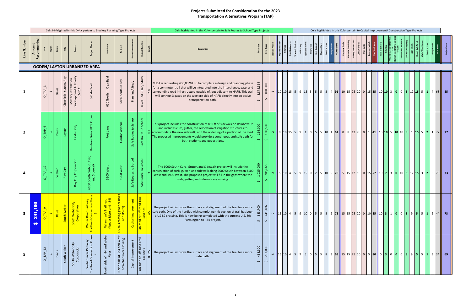|                |                                                                       |                                                  |              |                               |                                                          | Cells Highlighted in this Color pertain to Studies/ Planning Type Projects           |                                                      |                                                                                                 |                             |                                                                                        | Cells highlighted in this Color pertain to Safe Routes to School Type Projects                                                                                                                                                                                                                                                                             |                               |                               |                         |                           |                              |            |  |                                                                                               | Cells highlighted in this Color pertain to Capital Improvement/ Construction Type Projects                                                 |          |         |                 |             |           |            |     |  |      |
|----------------|-----------------------------------------------------------------------|--------------------------------------------------|--------------|-------------------------------|----------------------------------------------------------|--------------------------------------------------------------------------------------|------------------------------------------------------|-------------------------------------------------------------------------------------------------|-----------------------------|----------------------------------------------------------------------------------------|------------------------------------------------------------------------------------------------------------------------------------------------------------------------------------------------------------------------------------------------------------------------------------------------------------------------------------------------------------|-------------------------------|-------------------------------|-------------------------|---------------------------|------------------------------|------------|--|-----------------------------------------------------------------------------------------------|--------------------------------------------------------------------------------------------------------------------------------------------|----------|---------|-----------------|-------------|-----------|------------|-----|--|------|
| Line Numbe     | ි<br>Amount<br>Recommende                                             |                                                  | 8            | City                          |                                                          |                                                                                      |                                                      |                                                                                                 |                             | ect Obje                                                                               | <b>Description</b>                                                                                                                                                                                                                                                                                                                                         | <b>Tot Cost</b>               | 흕<br>Fed                      |                         | nal Priority<br>Fills Gap | Provides Acc<br>Wasatch Choi | Add Safety |  | Sponsors Match<br>Imovative<br>Com Support<br>Diverse Users<br>Cost Per User<br>Cost Per Mile | Capital Sco                                                                                                                                | Regional | $w$ /Pi | S <sub>50</sub> | ox to:<br>壶 | m of Stud | <b>Pro</b> | Deg |  |      |
|                |                                                                       |                                                  |              |                               |                                                          | <b>OGDEN/ LAYTON URBANIZED AREA</b>                                                  |                                                      |                                                                                                 |                             |                                                                                        |                                                                                                                                                                                                                                                                                                                                                            |                               |                               |                         |                           |                              |            |  |                                                                                               |                                                                                                                                            |          |         |                 |             |           |            |     |  |      |
|                |                                                                       | $\mathbf{\infty}$<br>TAP <sub>-</sub><br>$\circ$ | Davis        | Roy<br>Sunset,<br>Clearfield, | Military Installation<br>Development Authority<br>(MIDA) | 3-Gate Trail                                                                         | Clearfield<br>North in<br>650                        | 5850 South in Roy                                                                               | Planning/Study              | Ped - Plan/ Study<br>Bike/                                                             | MIDA is requesting 400,00 WFRC to complete a design and planning phase<br>for a commuter trail that will be integrated into the interchange, gate, and<br>surrounding road infrastructure outside of, but adjacent to HAFB. This trail<br>will connect 3 gates on the western side of HAFB directly into an active<br>transportation path.                 | 8,875,<br>$\hat{\mathbf{v}}$  | 400,000<br>$\hat{\mathbf{v}}$ |                         |                           |                              |            |  |                                                                                               | $10 10 15 5 9 15 5 5 5 8 4 91  10 15 25 20 0 15 85  10 10 3 0 0 8 12 15 5 1 4 68 85$                                                       |          |         |                 |             |           |            |     |  |      |
| $\overline{2}$ |                                                                       | $\circ$<br>$-TAP$<br>$\Omega$                    | Davis        | Layton                        | Layton City                                              | Project<br>Drive SRTS<br>$\delta$<br>Rainb                                           | 훈                                                    |                                                                                                 | School<br>Routes to<br>Safe | School<br>$\mathsf{C}$<br>Route<br>Safe                                                | This project includes the construction of 850 ft of sidewalk on Rainbow Dr<br>and includes curb, gutter, the relocation of irrigation structures to<br>$\frac{11}{6}$ accommodate the new sidewalk, and the widening of a portion of the road.<br>The proposed improvements would provide a continuous and safe path for<br>both students and pedestrians. | 194,000<br>$\mathbf{v}$       | 180,500<br>$\bullet$          | $\sim$ 11               |                           |                              |            |  |                                                                                               | 0 10 15 5 9 1 0 5 5 0 1 0 1 6 1 0 8 12 20 0 1 41 0 10 5 10 0 8 1 5 2 1 77 77                                                               |          |         |                 |             |           |            |     |  |      |
|                |                                                                       | $\overline{a}$<br>TAP                            | Weber        | Roy City                      | ration<br>Corpo<br>City<br>Roy                           | Gutter,<br>Ik<br>6000 South Curb, Good                                               | 3100 West                                            | 900 West                                                                                        | Routes to School<br>Safe    | Route To School<br>Safe                                                                | The 6000 South Curb, Gutter, and Sidewalk project will include the<br>construction of curb, gutter, and sidewalk along 6000 South between 3100<br>West and 1900 West. The proposed project will fill in the gaps where the<br>curb, gutter, and sidewalk are missing.                                                                                      | 1,025,000<br>$\mathbf{v}$     | 205,665<br>$\hat{\mathbf{v}}$ |                         |                           |                              |            |  |                                                                                               | 5 10 4 5 9 15 0 2 5 10 5 70 5 15 12 10 0 15 57 10 7 3 0 10 6 12 15 3 2 5 73 73                                                             |          |         |                 |             |           |            |     |  |      |
| 3              | ဖ<br>$\infty$<br>$\blacktriangledown$<br>241<br>$\boldsymbol{\theta}$ |                                                  | <b>Davis</b> | South Weber                   | City<br>$\blacktriangle$<br>South Webe                   | y<br>hase<br>Weber River Parkwa<br>Trailhead Connection P<br>$\mathbf{\overline{d}}$ | ਦੂ ਹ<br>Fisherman's Trailhea<br>(Weber River and I-8 | River<br>(Weber<br>S-89)<br>us-89 Crossing (۷<br>۱) Sarizoso O8-2U                              | $\pm$<br>Capital Improvemer | <mark>│ ම</mark><br>or Off-road<br>Facilities<br>On-road                               | The project will improve the surface and alignment of the trail for a more<br>safe path. One of the hurdles with completing this section of trail has been<br>a US-89 crossing. This is now being completed with the current U.S. 89;<br>Farmington to I-84 project.                                                                                       | 383,700<br>$\hat{\mathbf{v}}$ | 241,186<br>$\bm{\omega}$      | $\overline{\mathbf{r}}$ |                           |                              |            |  |                                                                                               | 15   10   4   5   9   10   0   5   5   8   2   73   15   15   25   20   0   10   85   10   3   1   0   0   8   9   5   5   1   2   44   73 |          |         |                 |             |           |            |     |  |      |
| 5              |                                                                       | $TAP_12$<br>$\circ$                              | Davis        | South Web                     | ΰ<br>Corporatio<br>South Weber                           | 웁<br>tion<br>Park<br>r River Pa<br>Connect<br>Weber<br>railhead                      | and<br>$-84$<br>$\mathbf{\dot{o}}$<br>side<br>Vorth  | West<br>sing<br>and<br>Č<br>of I-84<br>r River<br>Weber<br>side<br>North<br>$\overline{\sigma}$ | Capital Improvement         | Trail<br>beo.<br>d or Off-ro<br>Facilities<br>0.625<br>$\overline{\sigma}$<br>$On-roa$ | The project will improve the surface and alignment of the trail for a more<br>safe path.                                                                                                                                                                                                                                                                   | 438,300<br>$\hat{\mathbf{v}}$ | 292,090<br>$\bm{\omega}$      |                         |                           |                              |            |  |                                                                                               | 15   10   4   5   9   5   0   5   8   8   3   69   15   15   25   20   0   5   80   0   3   0   0   8   9   5   5   1   3   34             |          |         |                 |             |           |            |     |  | - 69 |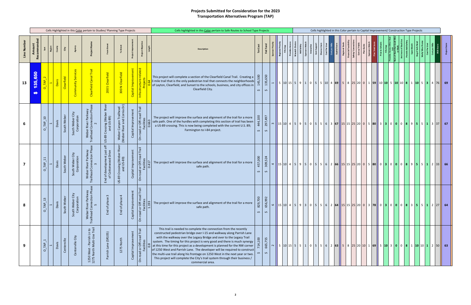|             |                                        |                                   |              |             |                                    | Cells Highlighted in this Color pertain to Studies/ Planning Type Projects |                                                                                                |                                                                           |                         |                                                                                                             | Cells highlighted in this Color pertain to Safe Routes to School Type Projects                                                                                                                                                                                                                                                                                                                                                                                                                                                                                                                                                                                            |                                         |                                   |                   |                               |                              |  | Cells highlighted in this Color pertain to Capital Improvement/ Construction Type Projects                                          |  |          |             |           |      |            |                       |                                  |     |  |  |
|-------------|----------------------------------------|-----------------------------------|--------------|-------------|------------------------------------|----------------------------------------------------------------------------|------------------------------------------------------------------------------------------------|---------------------------------------------------------------------------|-------------------------|-------------------------------------------------------------------------------------------------------------|---------------------------------------------------------------------------------------------------------------------------------------------------------------------------------------------------------------------------------------------------------------------------------------------------------------------------------------------------------------------------------------------------------------------------------------------------------------------------------------------------------------------------------------------------------------------------------------------------------------------------------------------------------------------------|-----------------------------------------|-----------------------------------|-------------------|-------------------------------|------------------------------|--|-------------------------------------------------------------------------------------------------------------------------------------|--|----------|-------------|-----------|------|------------|-----------------------|----------------------------------|-----|--|--|
| Line Number | Amount<br>Recommende                   | Region                            | පි           | Ĝty         |                                    | Project                                                                    |                                                                                                |                                                                           |                         | Project Obje                                                                                                | <b>Description</b>                                                                                                                                                                                                                                                                                                                                                                                                                                                                                                                                                                                                                                                        | <b>Tot Cost</b>                         | Fed Fur                           |                   | Regional Priorit<br>Fills Gap | Provides Acc<br>Wasatch Choi |  | Add Safety<br>Sponsors Match<br>Imovative<br>Com Support<br>Diverse Users<br>Cost Per User<br>Cost Per User                         |  | Regional | Safety/ Cor | Com w/ Pu | Spor | Prox to So | sch<br>um of Stud tha | <b>Antinc</b><br>P <sub>ro</sub> | Deg |  |  |
| 13          | 650<br>35<br>$\blacktriangledown$<br>₩ | TAP<br>oʻ                         | Davis        | Clearfield  | Community Servic                   | Trail<br>Clearfield Canal                                                  | 200 S Clearfield                                                                               | 300 N Clearfield                                                          | Capital Improvement     | related                                                                                                     | This project will complete a section of the Clearfield Canal Trail. Creating a<br>3 mile trail that is the only pedestrian trail that connects the neighborhoods<br>of Layton, Clearfield, and Sunset to the schools, business, and city offices in<br>Clearfield City.                                                                                                                                                                                                                                                                                                                                                                                                   | 145,500<br>$\mathbf{\hat{S}}$           | 135,650<br>$\hat{\mathbf{v}}$     | $\overline{a}$    |                               |                              |  | $5 10 15 5 9 1 0 5 5 10 4 69  5 8 25 20 0 1 59  10 10 5 10 10 8 1 10 5 3 4 76  69$                                                  |  |          |             |           |      |            |                       |                                  |     |  |  |
|             |                                        | $TAP_1$ 0<br>$\circ$              | Davis        | South Weber | City<br>South Weber<br>Corporation | Ĕ<br>r River Parkw<br>  Connection  <br>$\sim$<br>Weber<br>Trailhead C     | $\ddot{\tilde{R}}$<br>Crossing (Weber I<br>and US-89)<br>US-89                                 | yon Trailhead<br>· and Cornia Dr)<br>Canyon<br>River<br>Weber<br>(Weber F | Capital Improvement     | Trail<br>$\overline{\mathbf{C}}$<br>Eou<br>or Off-ru<br>Facilities<br>0.6<br>$\overline{\sigma}$<br>On-road | The project will improve the surface and alignment of the trail for a more<br>safe path. One of the hurdles with completing this section of trail has been<br>a US-89 crossing. This is now being completed with the current U.S. 89;<br>Farmington to I-84 project.                                                                                                                                                                                                                                                                                                                                                                                                      | S.<br>444,1<br>$\hat{\mathbf{v}}$       | 297,497<br>$\hat{\mathbf{v}}$     | $\sim$            |                               |                              |  | 15   10   4   5   9   5   0   5   5   6   3   67   15   15   25   20   0   5   80   3   3   0   0   8   9   5   5   1   3   37   67 |  |          |             |           |      |            |                       |                                  |     |  |  |
|             |                                        | $TAP_111$<br>$\circ$              | Davis        | South Weber | City<br>South Weber<br>Corporation | Weber River Parkway<br>Trailhead Connection Ph                             | 5 <sup>th</sup><br>Fdevelopment just<br>Cottonwood Drive<br>$\frac{5}{2}$ $\frac{6}{5}$<br>End | River<br>ng (Weber<br>US-89)<br>US-89 Crossing<br>and                     | Capital Improvement     | Trail<br>d or Off-road T<br>Facilities<br>0.417<br>$\sigma$<br>On-roa                                       | The project will improve the surface and alignment of the trail for a more<br>safe path.                                                                                                                                                                                                                                                                                                                                                                                                                                                                                                                                                                                  | 457,000<br>$\hat{\mathbf{v}}$           | 309,524<br>$\hat{\mathbf{v}}$     | $\overline{a}$    |                               |                              |  | 15   10   4   5   9   5   0   5   5   6   2   66   15   15   25   20   0   5   80   0   3   0   0   8   9   5   5   1   2   33   66 |  |          |             |           |      |            |                       |                                  |     |  |  |
| 8           |                                        | $\omega$<br>TAP<br>$\sigma$       | Davis        | South Weber | City<br>$\delta$<br>South Webe     | Vewyle<br>ction Ph.<br>Weber River F<br>Trailhead Connec<br>S              | $\sim$<br>se<br>End of pha                                                                     | $\overline{4}$<br>္တစ္ထ<br>End of pha                                     | wement<br>Capital Impro | Trail<br>peo<br>S<br>1.193<br>l or Off-<br>Facilitie<br>On-road                                             | The project will improve the surface and alignment of the trail for a more<br>safe path.                                                                                                                                                                                                                                                                                                                                                                                                                                                                                                                                                                                  | $\overline{5}$<br>829,7<br>$\mathbf{v}$ | 92<br>656,9<br>$\hat{\mathbf{v}}$ | $\mathbf{\sigma}$ |                               |                              |  | 15   10   4   5   9   3   0   5   5   6   2   64   15   15   25   20   0   3   78   0   3   0   0   8   3   5   5   1   2   27   64 |  |          |             |           |      |            |                       |                                  |     |  |  |
| 9           |                                        | $\overline{ }$<br>TAP<br>$\circ'$ | <b>Davis</b> | Centerville | Centerville City                   | : - Parrish Ln to<br>Multi-Use Trail<br>1250 West<br>1275 North I          | Parrish Lane (SR105)                                                                           | 1275 North                                                                | Capital Improvement     | Trail<br>d or Off-road<br>Facilities<br>On-road                                                             | This trail is needed to complete the connection from the recently<br>constructed pedestrian bridge over I-15 and walkway along Parrish Lane<br>with the walkway over the Legacy Bridge and over to the Legacy Trail<br>system. The timing for this project is very good and there is much synergy<br>$\frac{\infty}{\infty}$ at this time for this project as a development is planned for the NW corner<br>of 1250 West and Parrish Lane. The developer will be required to construct<br>the multi-use trail along his frontage on 1250 West in the next year or two.<br>This project will complete the City's trail system through their business /<br>commercial area. | 714,100<br>$\hat{\mathbf{v}}$           | 665,755<br>$\hat{\mathbf{v}}$     | $\sim$ $\mid$     |                               |                              |  | $5 10 15 5 5 1 0 5 5 6 2 63 5 8 25 20 10 1 69 5 10 3 0 0 8 1 1010 1 2 50 63$                                                        |  |          |             |           |      |            |                       |                                  |     |  |  |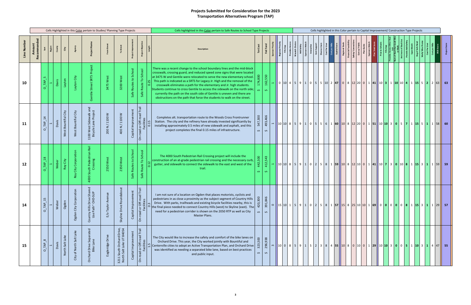|            |                    |                              |        |                           |                            | Cells Highlighted in this Color pertain to Studies/ Planning Type Projects |                                  |                                                                                                                |                                                 |                                                               |                       | Cells highlighted in this Color pertain to Safe Routes to School Type Projects                                                                                                                                                                                                                                                                                                                                                                                                                                                                                                                                                  |                               |                                                   |               |                           |                              | Cells highlighted in this Color pertain to Capital Improvement/ Construction Type Projects                 |  |              |                                             |           |            |            |                       |        |     |  |                                                                                                                                                    |
|------------|--------------------|------------------------------|--------|---------------------------|----------------------------|----------------------------------------------------------------------------|----------------------------------|----------------------------------------------------------------------------------------------------------------|-------------------------------------------------|---------------------------------------------------------------|-----------------------|---------------------------------------------------------------------------------------------------------------------------------------------------------------------------------------------------------------------------------------------------------------------------------------------------------------------------------------------------------------------------------------------------------------------------------------------------------------------------------------------------------------------------------------------------------------------------------------------------------------------------------|-------------------------------|---------------------------------------------------|---------------|---------------------------|------------------------------|------------------------------------------------------------------------------------------------------------|--|--------------|---------------------------------------------|-----------|------------|------------|-----------------------|--------|-----|--|----------------------------------------------------------------------------------------------------------------------------------------------------|
| Line Numbe | ි<br>Amount<br>Rec |                              | Regior | City                      |                            | Project Na                                                                 | ੰਕ                               |                                                                                                                | ಕ್ಷ                                             | Project Objec                                                 |                       | <b>Description</b>                                                                                                                                                                                                                                                                                                                                                                                                                                                                                                                                                                                                              | <b>Tot Cost</b>               | Fed                                               |               | tional Prior<br>Fills Gap | Provides Acc<br>Wasatch Choi | Add Safety<br>Sponsors Match<br>Imovative<br>Com Support<br>Diverse User<br>Cost Per User<br>Cost Per User |  | Capital Scor | Regional G<br>Financial Fea<br>Safety/ Conn | Com w/ Pu | Sponsors M | Prox to Sc | Sch<br>Im of Stud tha | Antino | Deg |  |                                                                                                                                                    |
| 10         |                    | TAP <sub>.</sub><br>$\Omega$ | Davis  | Layton                    | Layton City                | Project<br>Street SRTS<br>Gentile                                          | 3475 West                        | $\tilde{\mathbf{z}}$<br><b>200</b>                                                                             | School<br>Safe Routes to                        | School<br>Safe                                                | Route To<br>$\circ$   | There was a recent change to the school boundary lines and the mid-block<br>crosswalk, crossing guard, and reduced speed zone signs that were located<br>at 3475 W and Gentile were relocated to serve the new elementary school.<br>This path is indicated as a SRTS for Legacy Jr. High and the removal of the<br>crosswalk eliminates a path for the elementary and Jr. high students.<br>Students continue to cross Gentile to access the sidewalk on the north side;<br>currently the path on the south side of Gentile is uneven and there are<br>obstructions on the path that force the students to walk on the street. | 800<br>$\mathbf{v}$           | 162,550<br>$\sim$                                 |               |                           |                              |                                                                                                            |  |              |                                             |           |            |            |                       |        |     |  | 0 10 4 5 9 1 0 5 5 10 2 47 0 8 12 20 0 1 41 10 3 1 0 0 4 1 5 5 2 3 63 63                                                                           |
| 11         |                    | 14<br>TAP_<br>$\circ$        | Davis  | City<br>Bountiful<br>West | Gity<br>Bountiful<br>West  | 1100 West Sidewalk and<br>Bicycle Lane Project                             | 200 N / 1100 W                   | N/1100W<br>400                                                                                                 | Capital Improvement                             | Froad Trail<br>or Off-ro<br>Facilities<br>On-road             | 15<br>$\circ$         | Completes alt. transportation route to the Woods Cross Frontrunner<br>Station. The city and the refinery have already invested significantly by<br>installing approximately 0.5 miles of new sidewalk and asphalt, and this<br>project completes the final 0.15 miles of infrastructure.                                                                                                                                                                                                                                                                                                                                        | 547,300<br>$\mathbf{v}$       | 493,466<br>$\hat{\mathbf{v}}$                     |               |                           |                              |                                                                                                            |  |              |                                             |           |            |            |                       |        |     |  | $10 10 8 5 9 1 05 5 6 1 60 10 8 12 20 0 1 51 10 10 3 0 5 7 1 15 5 1 1 58 60$                                                                       |
| 12         |                    | TAP <sub>.</sub>             | Weber  | Roy City                  | Φ<br>Corpor<br>City<br>ð   | ு<br>uth Pedestria<br>Crossing<br><sub>So</sub><br>4000                    | 2550 West                        | wei<br>2350                                                                                                    | $\overline{\circ}$<br>to Scho<br>Routes<br>Safe | $\overline{8}$<br>Sch                                         | Route To<br>ö<br>Safe | The 4000 South Pedestrian Rail Crossing project will include the<br>construction of an at-grade pedestrian rail crossing and the necessary curb,<br>gutter, and sidewalk to connect the sidewalk to the east and west of the<br>trail.                                                                                                                                                                                                                                                                                                                                                                                          | 442,500<br>$\mathbf{v}$       | 412,543<br>တ                                      |               |                           |                              |                                                                                                            |  |              |                                             |           |            |            |                       |        |     |  |                                                                                                                                                    |
| 14         |                    | $TAP_1!$<br>$\circ$          | Weber  | Ogden                     | Corp<br>City<br>Ogden      | $\mathbf{e}$<br>shar<br>SUP<br>S<br>CHD-<br>Country Hills I<br>Use Path~   | nue<br>$\tilde{A}$<br>E/o Taylor | <b>Idabout</b><br>Rou<br>Drive<br>Skyline                                                                      | ement<br>Capital Improv                         | Trail<br>Ρe<br>l or Off-r<br>Facilities<br>$\sigma$<br>On-roa |                       | I am not sure of a location on Ogden that places motorists, cyclists and<br>pedestrians in as close a proximity as the subject segment of Country Hills<br>Drive. With parks, trailheads and existing bicycle facilities nearby, this is<br>$ \circ $ the final piece needed to connect Country Hills (west) to Skyline (east). The<br>need for a pedestrian corrider is shown on the 2050 RTP as well as City<br>Master Plans.                                                                                                                                                                                                 | 420,300<br>$\hat{\mathbf{v}}$ | $\mathbf{\sigma}$<br>391,84<br>$\hat{\mathbf{v}}$ |               |                           |                              |                                                                                                            |  |              |                                             |           |            |            |                       |        |     |  | $\circ$   15   10   1   5   9   1   0   2   5   8   1   57   15   8   25   10   10   1   69   0   0   0   0   0   8   1   15   3   1   1   29   57 |
| 15         |                    | $\infty$<br>TAP_<br>$\circ$  | Davis  | Lake<br>Salt<br>North     | Salt<br>North<br>৳<br>City | Separated<br>ு<br>Orchard Drive 9                                          | Eagleridge Drive                 | d Drive,<br>84054<br>곤<br>5<br>$\overline{\omega}$<br>᠊ᠲ<br>Lake<br>ŏ<br>South<br>h Salt I<br>3211 So<br>North | Capital Improvement                             | Trail<br>d or Off-road T<br>Facilities<br>ರ<br>$On-roa$       |                       | The City would like to increase the safety and comfort of the bike lanes on<br>Orchard Drive. This year, the City worked jointly with Bountiful and<br>Centerville cities to adopt an Active Transportation Plan, and Orchard Drive<br>was identified as needing a separated bike lane, based on best practices<br>and public input.                                                                                                                                                                                                                                                                                            | 323,500<br>$\bm{\omega}$      | 296,938<br>$\hat{\mathbf{v}}$                     | $\sim$ $\mid$ |                           |                              |                                                                                                            |  |              |                                             |           |            |            |                       |        |     |  | $10 0 8591152384551108010101012911013001511031447$ 55                                                                                              |